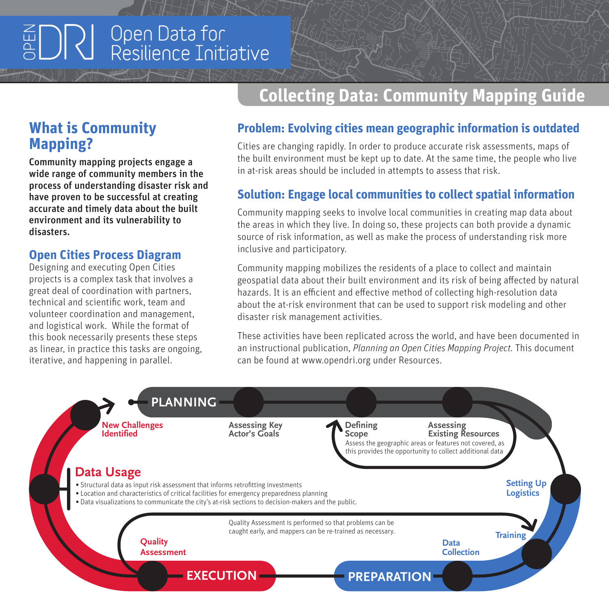# Open Data for  $\sum_{i=1}^n \sum_{j=1}^n \sum_{j=1}^n \sum_{j=1}^n \sum_{j=1}^n \sum_{j=1}^n \sum_{j=1}^n \sum_{j=1}^n \sum_{j=1}^n \sum_{j=1}^n \sum_{j=1}^n \sum_{j=1}^n \sum_{j=1}^n \sum_{j=1}^n \sum_{j=1}^n \sum_{j=1}^n \sum_{j=1}^n \sum_{j=1}^n \sum_{j=1}^n \sum_{j=1}^n \sum_{j=1}^n \sum_{j=1}^n \sum_{j=1}^n \sum_{j=1}^n \sum_{j$

# **What is Community Mapping?**

Community mapping projects engage a wide range of community members in the process of understanding disaster risk and have proven to be successful at creating accurate and timely data about the built environment and its vulnerability to disasters.

#### **Open Cities Process Diagram**

Designing and executing Open Cities projects is a complex task that involves a great deal of coordination with partners, technical and scientific work, team and volunteer coordination and management, and logistical work. While the format of this book necessarily presents these steps as linear, in practice this tasks are ongoing, iterative, and happening in parallel.

# **Collecting Data: Community Mapping Guide**

### **Problem: Evolving cities mean geographic information is outdated**

Cities are changing rapidly. In order to produce accurate risk assessments, maps of the built environment must be kept up to date. At the same time, the people who live in at-risk areas should be included in attempts to assess that risk.

### **Solution: Engage local communities to collect spatial information**

Community mapping seeks to involve local communities in creating map data about the areas in which they live. In doing so, these projects can both provide a dynamic source of risk information, as well as make the process of understanding risk more inclusive and participatory.

Community mapping mobilizes the residents of a place to collect and maintain geospatial data about their built environment and its risk of being affected by natural hazards. It is an efficient and effective method of collecting high-resolution data about the at-risk environment that can be used to support risk modeling and other disaster risk management activities.

These activities have been replicated across the world, and have been documented in an instructional publication, *Planning an Open Cities Mapping Project.* This document can be found at www.opendri.org under Resources.